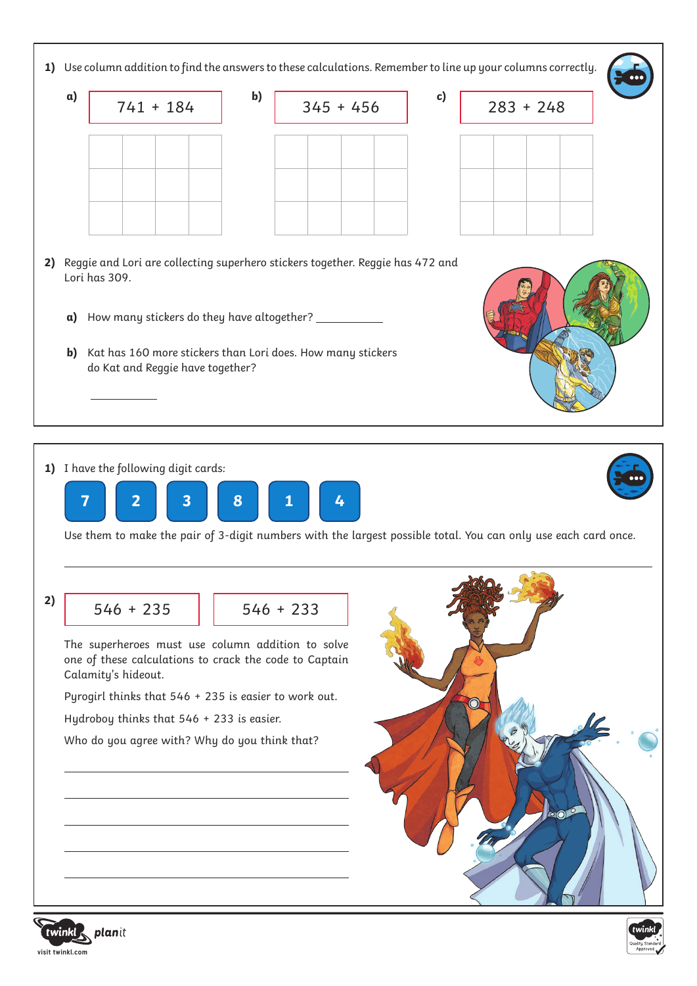

**1)** I have the following digit cards:



Use them to make the pair of 3-digit numbers with the largest possible total. You can only use each card once.

**2)** 

 $546 + 235$  | 546 + 233

The superheroes must use column addition to solve one of these calculations to crack the code to Captain Calamity's hideout.

Pyrogirl thinks that 546 + 235 is easier to work out.

Hydroboy thinks that 546 + 233 is easier.

Who do you agree with? Why do you think that?